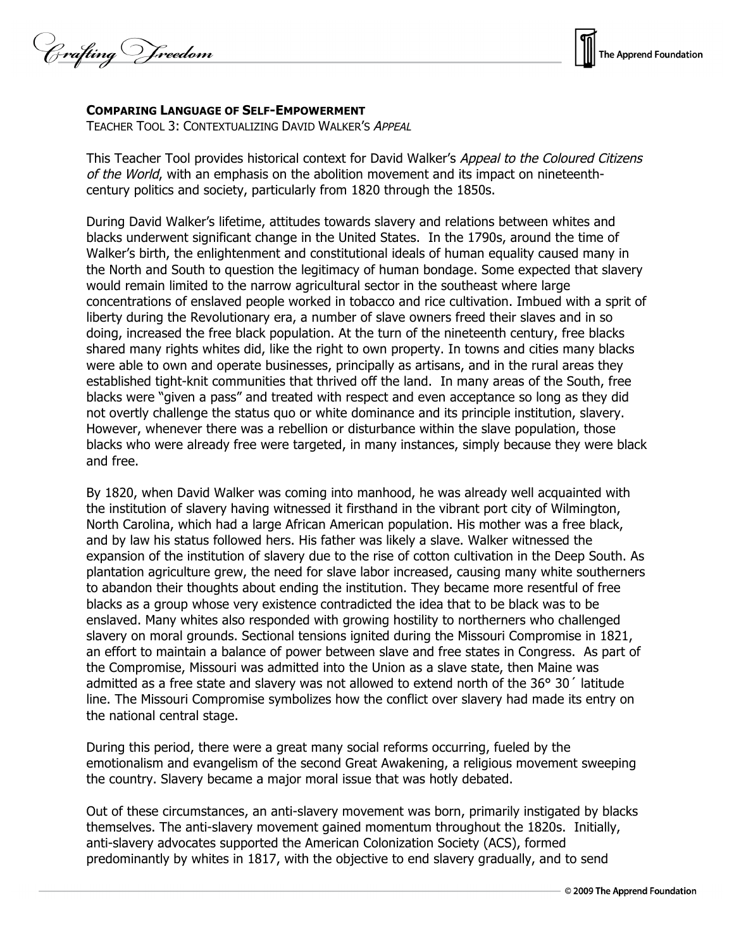Crafting Vreedom



## **COMPARING LANGUAGE OF SELF-EMPOWERMENT**

TEACHER TOOL 3: CONTEXTUALIZING DAVID WALKER'S APPEAL

This Teacher Tool provides historical context for David Walker's Appeal to the Coloured Citizens of the World, with an emphasis on the abolition movement and its impact on nineteenthcentury politics and society, particularly from 1820 through the 1850s.

During David Walker's lifetime, attitudes towards slavery and relations between whites and blacks underwent significant change in the United States. In the 1790s, around the time of Walker's birth, the enlightenment and constitutional ideals of human equality caused many in the North and South to question the legitimacy of human bondage. Some expected that slavery would remain limited to the narrow agricultural sector in the southeast where large concentrations of enslaved people worked in tobacco and rice cultivation. Imbued with a sprit of liberty during the Revolutionary era, a number of slave owners freed their slaves and in so doing, increased the free black population. At the turn of the nineteenth century, free blacks shared many rights whites did, like the right to own property. In towns and cities many blacks were able to own and operate businesses, principally as artisans, and in the rural areas they established tight-knit communities that thrived off the land. In many areas of the South, free blacks were "given a pass" and treated with respect and even acceptance so long as they did not overtly challenge the status quo or white dominance and its principle institution, slavery. However, whenever there was a rebellion or disturbance within the slave population, those blacks who were already free were targeted, in many instances, simply because they were black and free.

By 1820, when David Walker was coming into manhood, he was already well acquainted with the institution of slavery having witnessed it firsthand in the vibrant port city of Wilmington, North Carolina, which had a large African American population. His mother was a free black, and by law his status followed hers. His father was likely a slave. Walker witnessed the expansion of the institution of slavery due to the rise of cotton cultivation in the Deep South. As plantation agriculture grew, the need for slave labor increased, causing many white southerners to abandon their thoughts about ending the institution. They became more resentful of free blacks as a group whose very existence contradicted the idea that to be black was to be enslaved. Many whites also responded with growing hostility to northerners who challenged slavery on moral grounds. Sectional tensions ignited during the Missouri Compromise in 1821, an effort to maintain a balance of power between slave and free states in Congress. As part of the Compromise, Missouri was admitted into the Union as a slave state, then Maine was admitted as a free state and slavery was not allowed to extend north of the 36° 30´ latitude line. The Missouri Compromise symbolizes how the conflict over slavery had made its entry on the national central stage.

During this period, there were a great many social reforms occurring, fueled by the emotionalism and evangelism of the second Great Awakening, a religious movement sweeping the country. Slavery became a major moral issue that was hotly debated.

Out of these circumstances, an anti-slavery movement was born, primarily instigated by blacks themselves. The anti-slavery movement gained momentum throughout the 1820s. Initially, anti-slavery advocates supported the American Colonization Society (ACS), formed predominantly by whites in 1817, with the objective to end slavery gradually, and to send